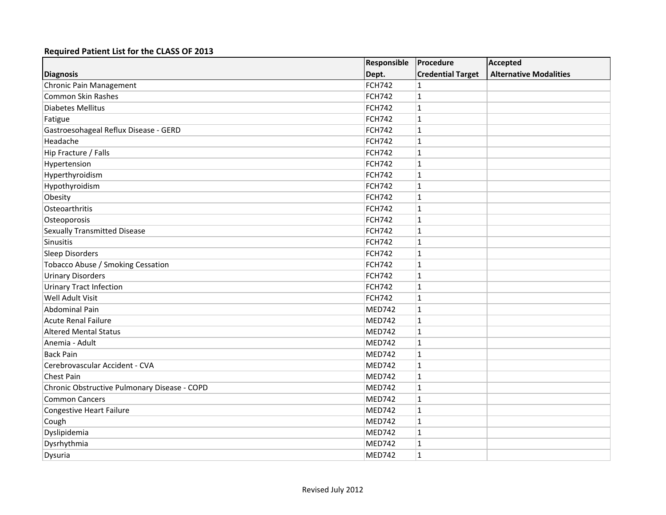|                                              | Responsible   | Procedure                | <b>Accepted</b>               |
|----------------------------------------------|---------------|--------------------------|-------------------------------|
| <b>Diagnosis</b>                             | Dept.         | <b>Credential Target</b> | <b>Alternative Modalities</b> |
| Chronic Pain Management                      | <b>FCH742</b> | $\mathbf{1}$             |                               |
| Common Skin Rashes                           | <b>FCH742</b> | $\mathbf{1}$             |                               |
| <b>Diabetes Mellitus</b>                     | <b>FCH742</b> | $\mathbf{1}$             |                               |
| Fatigue                                      | <b>FCH742</b> | $\mathbf{1}$             |                               |
| Gastroesohageal Reflux Disease - GERD        | <b>FCH742</b> | $\mathbf{1}$             |                               |
| Headache                                     | <b>FCH742</b> | $\mathbf{1}$             |                               |
| Hip Fracture / Falls                         | <b>FCH742</b> | $\mathbf{1}$             |                               |
| Hypertension                                 | <b>FCH742</b> | $\mathbf{1}$             |                               |
| Hyperthyroidism                              | <b>FCH742</b> | $\mathbf{1}$             |                               |
| Hypothyroidism                               | <b>FCH742</b> | $\mathbf{1}$             |                               |
| Obesity                                      | <b>FCH742</b> | $\mathbf{1}$             |                               |
| Osteoarthritis                               | <b>FCH742</b> | $\mathbf{1}$             |                               |
| Osteoporosis                                 | <b>FCH742</b> | $\mathbf{1}$             |                               |
| <b>Sexually Transmitted Disease</b>          | <b>FCH742</b> | $\mathbf{1}$             |                               |
| Sinusitis                                    | FCH742        | $\mathbf{1}$             |                               |
| Sleep Disorders                              | <b>FCH742</b> | $\mathbf{1}$             |                               |
| Tobacco Abuse / Smoking Cessation            | <b>FCH742</b> | $\mathbf{1}$             |                               |
| <b>Urinary Disorders</b>                     | <b>FCH742</b> | $\mathbf{1}$             |                               |
| <b>Urinary Tract Infection</b>               | <b>FCH742</b> | $\mathbf{1}$             |                               |
| Well Adult Visit                             | <b>FCH742</b> | $\mathbf{1}$             |                               |
| <b>Abdominal Pain</b>                        | <b>MED742</b> | $\mathbf{1}$             |                               |
| <b>Acute Renal Failure</b>                   | MED742        | $\mathbf{1}$             |                               |
| <b>Altered Mental Status</b>                 | MED742        | $\mathbf{1}$             |                               |
| Anemia - Adult                               | <b>MED742</b> | $\mathbf 1$              |                               |
| <b>Back Pain</b>                             | MED742        | $\mathbf{1}$             |                               |
| Cerebrovascular Accident - CVA               | <b>MED742</b> | $\mathbf{1}$             |                               |
| <b>Chest Pain</b>                            | <b>MED742</b> | $\mathbf{1}$             |                               |
| Chronic Obstructive Pulmonary Disease - COPD | MED742        | $\mathbf{1}$             |                               |
| <b>Common Cancers</b>                        | MED742        | $\mathbf{1}$             |                               |
| <b>Congestive Heart Failure</b>              | MED742        | $\mathbf{1}$             |                               |
| Cough                                        | MED742        | $\mathbf{1}$             |                               |
| Dyslipidemia                                 | <b>MED742</b> | $\mathbf{1}$             |                               |
| Dysrhythmia                                  | <b>MED742</b> | $\mathbf{1}$             |                               |
| Dysuria                                      | <b>MED742</b> | $\mathbf{1}$             |                               |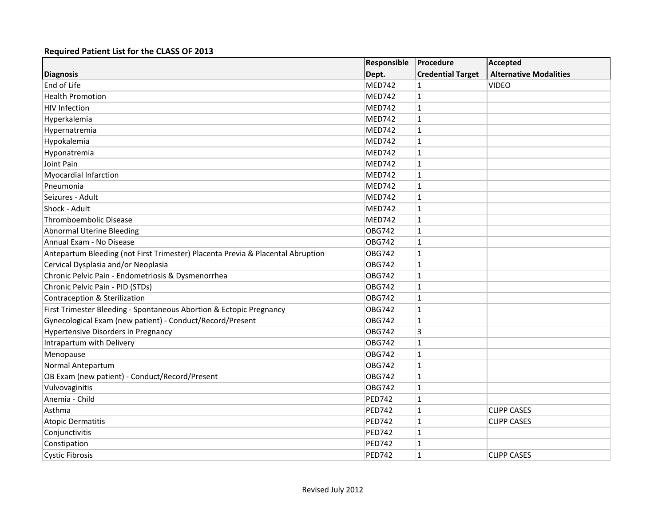|                                                                                 | Responsible<br>Dept. | Procedure<br><b>Credential Target</b> | <b>Accepted</b><br><b>Alternative Modalities</b> |
|---------------------------------------------------------------------------------|----------------------|---------------------------------------|--------------------------------------------------|
| <b>Diagnosis</b>                                                                |                      |                                       |                                                  |
| End of Life                                                                     | <b>MED742</b>        | 1                                     | <b>VIDEO</b>                                     |
| <b>Health Promotion</b>                                                         | <b>MED742</b>        | $\mathbf{1}$                          |                                                  |
| <b>HIV Infection</b>                                                            | <b>MED742</b>        | $\mathbf{1}$                          |                                                  |
| Hyperkalemia                                                                    | <b>MED742</b>        | $\mathbf{1}$                          |                                                  |
| Hypernatremia                                                                   | MED742               | $\mathbf{1}$                          |                                                  |
| Hypokalemia                                                                     | MED742               | $\mathbf{1}$                          |                                                  |
| Hyponatremia                                                                    | <b>MED742</b>        | $\mathbf{1}$                          |                                                  |
| Joint Pain                                                                      | <b>MED742</b>        | $\mathbf{1}$                          |                                                  |
| <b>Myocardial Infarction</b>                                                    | <b>MED742</b>        | $\mathbf{1}$                          |                                                  |
| Pneumonia                                                                       | <b>MED742</b>        | $\mathbf{1}$                          |                                                  |
| Seizures - Adult                                                                | MED742               | $\mathbf{1}$                          |                                                  |
| Shock - Adult                                                                   | <b>MED742</b>        | $\mathbf{1}$                          |                                                  |
| <b>Thromboembolic Disease</b>                                                   | <b>MED742</b>        | $\mathbf{1}$                          |                                                  |
| <b>Abnormal Uterine Bleeding</b>                                                | <b>OBG742</b>        | $\mathbf{1}$                          |                                                  |
| Annual Exam - No Disease                                                        | <b>OBG742</b>        | $\mathbf{1}$                          |                                                  |
| Antepartum Bleeding (not First Trimester) Placenta Previa & Placental Abruption | OBG742               | $\mathbf{1}$                          |                                                  |
| Cervical Dysplasia and/or Neoplasia                                             | <b>OBG742</b>        | $\mathbf{1}$                          |                                                  |
| Chronic Pelvic Pain - Endometriosis & Dysmenorrhea                              | <b>OBG742</b>        | $\mathbf{1}$                          |                                                  |
| Chronic Pelvic Pain - PID (STDs)                                                | <b>OBG742</b>        | $\mathbf{1}$                          |                                                  |
| Contraception & Sterilization                                                   | <b>OBG742</b>        | $\mathbf{1}$                          |                                                  |
| First Trimester Bleeding - Spontaneous Abortion & Ectopic Pregnancy             | <b>OBG742</b>        | $\mathbf{1}$                          |                                                  |
| Gynecological Exam (new patient) - Conduct/Record/Present                       | <b>OBG742</b>        | $\mathbf{1}$                          |                                                  |
| <b>Hypertensive Disorders in Pregnancy</b>                                      | <b>OBG742</b>        | 3                                     |                                                  |
| Intrapartum with Delivery                                                       | <b>OBG742</b>        | $\mathbf{1}$                          |                                                  |
| Menopause                                                                       | <b>OBG742</b>        | $\mathbf{1}$                          |                                                  |
| Normal Antepartum                                                               | <b>OBG742</b>        | $\mathbf{1}$                          |                                                  |
| OB Exam (new patient) - Conduct/Record/Present                                  | <b>OBG742</b>        | $\mathbf{1}$                          |                                                  |
| Vulvovaginitis                                                                  | <b>OBG742</b>        | $\mathbf{1}$                          |                                                  |
| Anemia - Child                                                                  | <b>PED742</b>        | $\mathbf{1}$                          |                                                  |
| Asthma                                                                          | <b>PED742</b>        | $\mathbf{1}$                          | <b>CLIPP CASES</b>                               |
| <b>Atopic Dermatitis</b>                                                        | <b>PED742</b>        | $\mathbf{1}$                          | <b>CLIPP CASES</b>                               |
| Conjunctivitis                                                                  | <b>PED742</b>        | $\mathbf{1}$                          |                                                  |
| Constipation                                                                    | <b>PED742</b>        | $\mathbf{1}$                          |                                                  |
| <b>Cystic Fibrosis</b>                                                          | <b>PED742</b>        | $\mathbf{1}$                          | <b>CLIPP CASES</b>                               |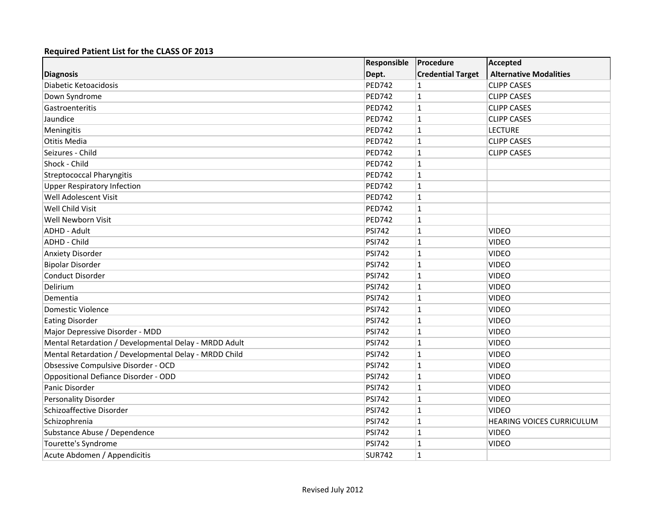|                                                       | Responsible   | Procedure                | <b>Accepted</b>               |
|-------------------------------------------------------|---------------|--------------------------|-------------------------------|
| <b>Diagnosis</b>                                      | Dept.         | <b>Credential Target</b> | <b>Alternative Modalities</b> |
| Diabetic Ketoacidosis                                 | <b>PED742</b> | $\mathbf{1}$             | <b>CLIPP CASES</b>            |
| Down Syndrome                                         | <b>PED742</b> | $\overline{1}$           | <b>CLIPP CASES</b>            |
| Gastroenteritis                                       | <b>PED742</b> | $\overline{1}$           | <b>CLIPP CASES</b>            |
| Jaundice                                              | <b>PED742</b> | $\overline{1}$           | <b>CLIPP CASES</b>            |
| Meningitis                                            | <b>PED742</b> | $\vert$ 1                | <b>LECTURE</b>                |
| Otitis Media                                          | <b>PED742</b> | $\overline{1}$           | <b>CLIPP CASES</b>            |
| Seizures - Child                                      | <b>PED742</b> | $\overline{1}$           | <b>CLIPP CASES</b>            |
| Shock - Child                                         | <b>PED742</b> | $\mathbf{1}$             |                               |
| <b>Streptococcal Pharyngitis</b>                      | <b>PED742</b> | $\overline{1}$           |                               |
| <b>Upper Respiratory Infection</b>                    | <b>PED742</b> | $\vert$ 1                |                               |
| Well Adolescent Visit                                 | <b>PED742</b> | $\overline{1}$           |                               |
| Well Child Visit                                      | <b>PED742</b> | $\mathbf{1}$             |                               |
| Well Newborn Visit                                    | <b>PED742</b> | $\overline{1}$           |                               |
| ADHD - Adult                                          | <b>PSI742</b> | $\overline{1}$           | <b>VIDEO</b>                  |
| <b>ADHD - Child</b>                                   | <b>PSI742</b> | $\overline{1}$           | <b>VIDEO</b>                  |
| <b>Anxiety Disorder</b>                               | <b>PSI742</b> | $\overline{1}$           | <b>VIDEO</b>                  |
| <b>Bipolar Disorder</b>                               | <b>PSI742</b> | $\overline{1}$           | <b>VIDEO</b>                  |
| Conduct Disorder                                      | <b>PSI742</b> | $\overline{1}$           | <b>VIDEO</b>                  |
| Delirium                                              | <b>PSI742</b> | $\overline{1}$           | <b>VIDEO</b>                  |
| Dementia                                              | <b>PSI742</b> | $\overline{1}$           | <b>VIDEO</b>                  |
| Domestic Violence                                     | <b>PSI742</b> | $\overline{1}$           | <b>VIDEO</b>                  |
| <b>Eating Disorder</b>                                | <b>PSI742</b> | $\overline{1}$           | <b>VIDEO</b>                  |
| Major Depressive Disorder - MDD                       | <b>PSI742</b> | $\overline{1}$           | <b>VIDEO</b>                  |
| Mental Retardation / Developmental Delay - MRDD Adult | <b>PSI742</b> | $\vert$ 1                | <b>VIDEO</b>                  |
| Mental Retardation / Developmental Delay - MRDD Child | <b>PSI742</b> | $\overline{1}$           | <b>VIDEO</b>                  |
| Obsessive Compulsive Disorder - OCD                   | <b>PSI742</b> | $\overline{1}$           | <b>VIDEO</b>                  |
| Oppositional Defiance Disorder - ODD                  | <b>PSI742</b> | $\overline{1}$           | <b>VIDEO</b>                  |
| Panic Disorder                                        | <b>PSI742</b> | $\vert$ 1                | <b>VIDEO</b>                  |
| Personality Disorder                                  | <b>PSI742</b> | $\overline{1}$           | <b>VIDEO</b>                  |
| Schizoaffective Disorder                              | <b>PSI742</b> | $\overline{1}$           | <b>VIDEO</b>                  |
| Schizophrenia                                         | <b>PSI742</b> | $\overline{\mathbf{1}}$  | HEARING VOICES CURRICULUM     |
| Substance Abuse / Dependence                          | <b>PSI742</b> | $\overline{1}$           | <b>VIDEO</b>                  |
| Tourette's Syndrome                                   | <b>PSI742</b> | $\vert$ 1                | <b>VIDEO</b>                  |
| Acute Abdomen / Appendicitis                          | <b>SUR742</b> | $\overline{1}$           |                               |